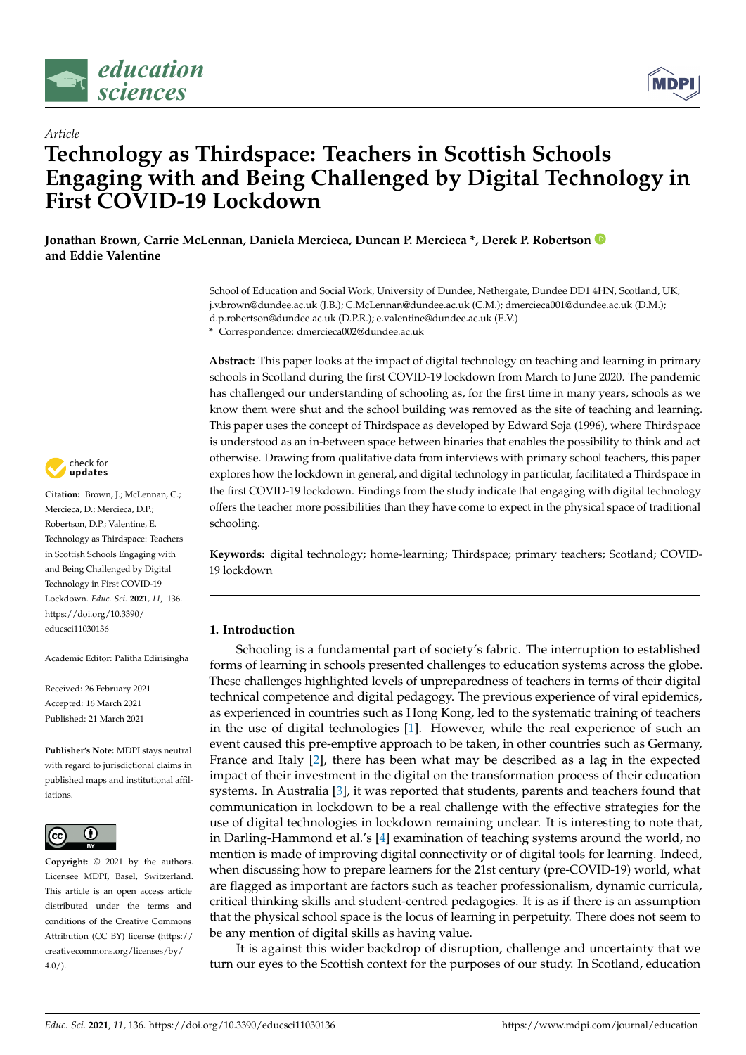



# *Article* **Technology as Thirdspace: Teachers in Scottish Schools Engaging with and Being Challenged by Digital Technology in First COVID-19 Lockdown**

**Jonathan Brown, Carrie McLennan, Daniela Mercieca, Duncan P. Mercieca \*, Derek P. Robertson and Eddie Valentine**

> School of Education and Social Work, University of Dundee, Nethergate, Dundee DD1 4HN, Scotland, UK; j.v.brown@dundee.ac.uk (J.B.); C.McLennan@dundee.ac.uk (C.M.); dmercieca001@dundee.ac.uk (D.M.); d.p.robertson@dundee.ac.uk (D.P.R.); e.valentine@dundee.ac.uk (E.V.)

**\*** Correspondence: dmercieca002@dundee.ac.uk

**Abstract:** This paper looks at the impact of digital technology on teaching and learning in primary schools in Scotland during the first COVID-19 lockdown from March to June 2020. The pandemic has challenged our understanding of schooling as, for the first time in many years, schools as we know them were shut and the school building was removed as the site of teaching and learning. This paper uses the concept of Thirdspace as developed by Edward Soja (1996), where Thirdspace is understood as an in-between space between binaries that enables the possibility to think and act otherwise. Drawing from qualitative data from interviews with primary school teachers, this paper explores how the lockdown in general, and digital technology in particular, facilitated a Thirdspace in the first COVID-19 lockdown. Findings from the study indicate that engaging with digital technology offers the teacher more possibilities than they have come to expect in the physical space of traditional schooling.

**Keywords:** digital technology; home-learning; Thirdspace; primary teachers; Scotland; COVID-19 lockdown

# **1. Introduction**

Schooling is a fundamental part of society's fabric. The interruption to established forms of learning in schools presented challenges to education systems across the globe. These challenges highlighted levels of unpreparedness of teachers in terms of their digital technical competence and digital pedagogy. The previous experience of viral epidemics, as experienced in countries such as Hong Kong, led to the systematic training of teachers in the use of digital technologies [\[1\]](#page-13-0). However, while the real experience of such an event caused this pre-emptive approach to be taken, in other countries such as Germany, France and Italy [\[2\]](#page-13-1), there has been what may be described as a lag in the expected impact of their investment in the digital on the transformation process of their education systems. In Australia [\[3\]](#page-13-2), it was reported that students, parents and teachers found that communication in lockdown to be a real challenge with the effective strategies for the use of digital technologies in lockdown remaining unclear. It is interesting to note that, in Darling-Hammond et al.'s [\[4\]](#page-13-3) examination of teaching systems around the world, no mention is made of improving digital connectivity or of digital tools for learning. Indeed, when discussing how to prepare learners for the 21st century (pre-COVID-19) world, what are flagged as important are factors such as teacher professionalism, dynamic curricula, critical thinking skills and student-centred pedagogies. It is as if there is an assumption that the physical school space is the locus of learning in perpetuity. There does not seem to be any mention of digital skills as having value.

It is against this wider backdrop of disruption, challenge and uncertainty that we turn our eyes to the Scottish context for the purposes of our study. In Scotland, education



**Citation:** Brown, J.; McLennan, C.; Mercieca, D.; Mercieca, D.P.; Robertson, D.P.; Valentine, E. Technology as Thirdspace: Teachers in Scottish Schools Engaging with and Being Challenged by Digital Technology in First COVID-19 Lockdown. *Educ. Sci.* **2021**, *11*, 136. [https://doi.org/10.3390/](https://doi.org/10.3390/educsci11030136) [educsci11030136](https://doi.org/10.3390/educsci11030136)

Academic Editor: Palitha Edirisingha

Received: 26 February 2021 Accepted: 16 March 2021 Published: 21 March 2021

**Publisher's Note:** MDPI stays neutral with regard to jurisdictional claims in published maps and institutional affiliations.



**Copyright:** © 2021 by the authors. Licensee MDPI, Basel, Switzerland. This article is an open access article distributed under the terms and conditions of the Creative Commons Attribution (CC BY) license (https:/[/](https://creativecommons.org/licenses/by/4.0/) [creativecommons.org/licenses/by/](https://creativecommons.org/licenses/by/4.0/)  $4.0/$ ).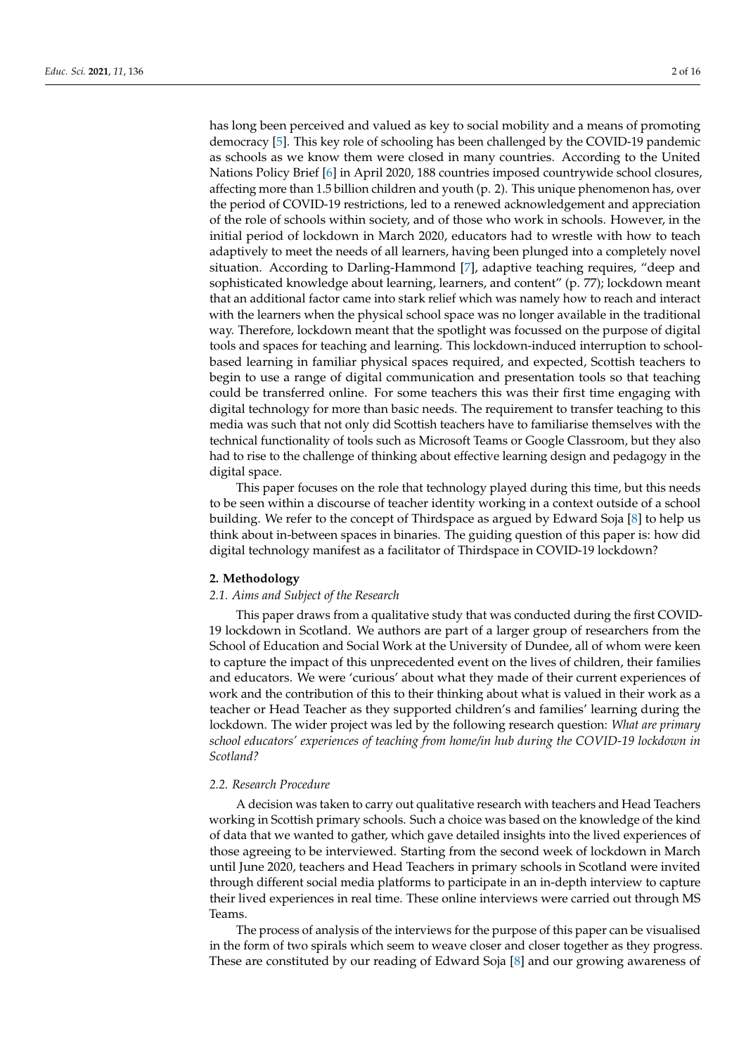has long been perceived and valued as key to social mobility and a means of promoting democracy [\[5\]](#page-13-4). This key role of schooling has been challenged by the COVID-19 pandemic as schools as we know them were closed in many countries. According to the United Nations Policy Brief [\[6\]](#page-14-0) in April 2020, 188 countries imposed countrywide school closures, affecting more than 1.5 billion children and youth (p. 2). This unique phenomenon has, over the period of COVID-19 restrictions, led to a renewed acknowledgement and appreciation of the role of schools within society, and of those who work in schools. However, in the initial period of lockdown in March 2020, educators had to wrestle with how to teach adaptively to meet the needs of all learners, having been plunged into a completely novel situation. According to Darling-Hammond [\[7\]](#page-14-1), adaptive teaching requires, "deep and sophisticated knowledge about learning, learners, and content" (p. 77); lockdown meant that an additional factor came into stark relief which was namely how to reach and interact with the learners when the physical school space was no longer available in the traditional way. Therefore, lockdown meant that the spotlight was focussed on the purpose of digital tools and spaces for teaching and learning. This lockdown-induced interruption to schoolbased learning in familiar physical spaces required, and expected, Scottish teachers to begin to use a range of digital communication and presentation tools so that teaching could be transferred online. For some teachers this was their first time engaging with digital technology for more than basic needs. The requirement to transfer teaching to this media was such that not only did Scottish teachers have to familiarise themselves with the technical functionality of tools such as Microsoft Teams or Google Classroom, but they also had to rise to the challenge of thinking about effective learning design and pedagogy in the digital space.

This paper focuses on the role that technology played during this time, but this needs to be seen within a discourse of teacher identity working in a context outside of a school building. We refer to the concept of Thirdspace as argued by Edward Soja [\[8\]](#page-14-2) to help us think about in-between spaces in binaries. The guiding question of this paper is: how did digital technology manifest as a facilitator of Thirdspace in COVID-19 lockdown?

#### **2. Methodology**

# *2.1. Aims and Subject of the Research*

This paper draws from a qualitative study that was conducted during the first COVID-19 lockdown in Scotland. We authors are part of a larger group of researchers from the School of Education and Social Work at the University of Dundee, all of whom were keen to capture the impact of this unprecedented event on the lives of children, their families and educators. We were 'curious' about what they made of their current experiences of work and the contribution of this to their thinking about what is valued in their work as a teacher or Head Teacher as they supported children's and families' learning during the lockdown. The wider project was led by the following research question: *What are primary school educators' experiences of teaching from home/in hub during the COVID-19 lockdown in Scotland?*

#### *2.2. Research Procedure*

A decision was taken to carry out qualitative research with teachers and Head Teachers working in Scottish primary schools. Such a choice was based on the knowledge of the kind of data that we wanted to gather, which gave detailed insights into the lived experiences of those agreeing to be interviewed. Starting from the second week of lockdown in March until June 2020, teachers and Head Teachers in primary schools in Scotland were invited through different social media platforms to participate in an in-depth interview to capture their lived experiences in real time. These online interviews were carried out through MS Teams.

The process of analysis of the interviews for the purpose of this paper can be visualised in the form of two spirals which seem to weave closer and closer together as they progress. These are constituted by our reading of Edward Soja [\[8\]](#page-14-2) and our growing awareness of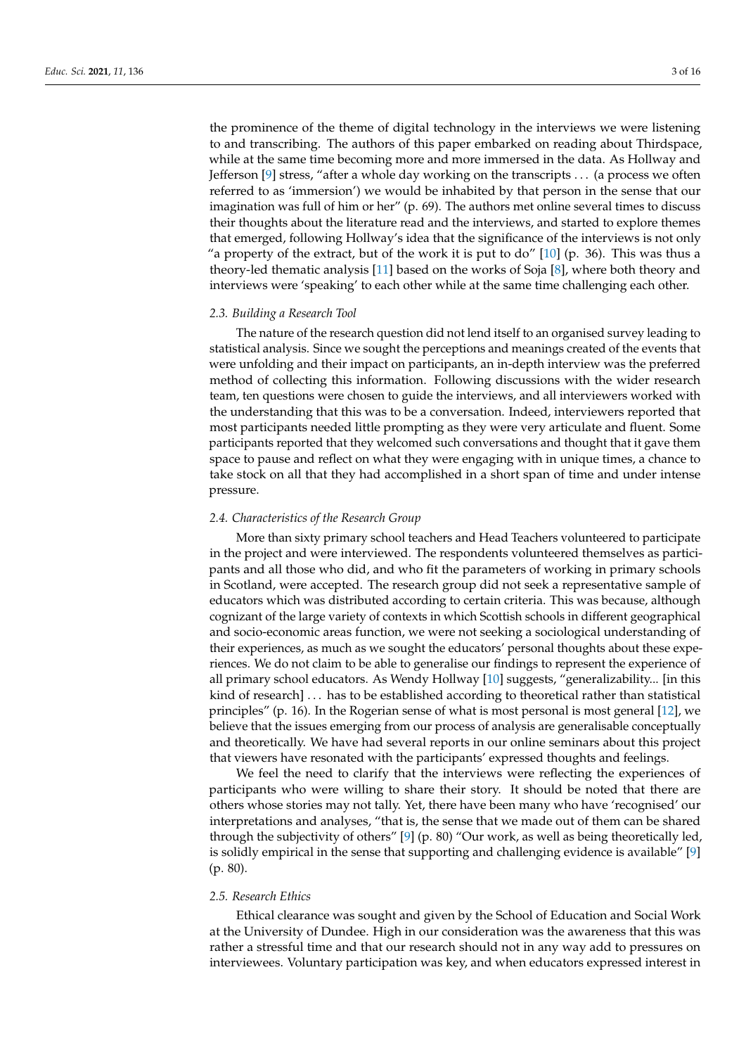the prominence of the theme of digital technology in the interviews we were listening to and transcribing. The authors of this paper embarked on reading about Thirdspace, while at the same time becoming more and more immersed in the data. As Hollway and Jefferson [\[9\]](#page-14-3) stress, "after a whole day working on the transcripts . . . (a process we often referred to as 'immersion') we would be inhabited by that person in the sense that our imagination was full of him or her" (p. 69). The authors met online several times to discuss their thoughts about the literature read and the interviews, and started to explore themes that emerged, following Hollway's idea that the significance of the interviews is not only "a property of the extract, but of the work it is put to do"  $[10]$  (p. 36). This was thus a theory-led thematic analysis [\[11\]](#page-14-5) based on the works of Soja [\[8\]](#page-14-2), where both theory and interviews were 'speaking' to each other while at the same time challenging each other.

#### *2.3. Building a Research Tool*

The nature of the research question did not lend itself to an organised survey leading to statistical analysis. Since we sought the perceptions and meanings created of the events that were unfolding and their impact on participants, an in-depth interview was the preferred method of collecting this information. Following discussions with the wider research team, ten questions were chosen to guide the interviews, and all interviewers worked with the understanding that this was to be a conversation. Indeed, interviewers reported that most participants needed little prompting as they were very articulate and fluent. Some participants reported that they welcomed such conversations and thought that it gave them space to pause and reflect on what they were engaging with in unique times, a chance to take stock on all that they had accomplished in a short span of time and under intense pressure.

## *2.4. Characteristics of the Research Group*

More than sixty primary school teachers and Head Teachers volunteered to participate in the project and were interviewed. The respondents volunteered themselves as participants and all those who did, and who fit the parameters of working in primary schools in Scotland, were accepted. The research group did not seek a representative sample of educators which was distributed according to certain criteria. This was because, although cognizant of the large variety of contexts in which Scottish schools in different geographical and socio-economic areas function, we were not seeking a sociological understanding of their experiences, as much as we sought the educators' personal thoughts about these experiences. We do not claim to be able to generalise our findings to represent the experience of all primary school educators. As Wendy Hollway [\[10\]](#page-14-4) suggests, "generalizability... [in this kind of research] . . . has to be established according to theoretical rather than statistical principles" (p. 16). In the Rogerian sense of what is most personal is most general [\[12\]](#page-14-6), we believe that the issues emerging from our process of analysis are generalisable conceptually and theoretically. We have had several reports in our online seminars about this project that viewers have resonated with the participants' expressed thoughts and feelings.

We feel the need to clarify that the interviews were reflecting the experiences of participants who were willing to share their story. It should be noted that there are others whose stories may not tally. Yet, there have been many who have 'recognised' our interpretations and analyses, "that is, the sense that we made out of them can be shared through the subjectivity of others" [\[9\]](#page-14-3) (p. 80) "Our work, as well as being theoretically led, is solidly empirical in the sense that supporting and challenging evidence is available" [\[9\]](#page-14-3) (p. 80).

## *2.5. Research Ethics*

Ethical clearance was sought and given by the School of Education and Social Work at the University of Dundee. High in our consideration was the awareness that this was rather a stressful time and that our research should not in any way add to pressures on interviewees. Voluntary participation was key, and when educators expressed interest in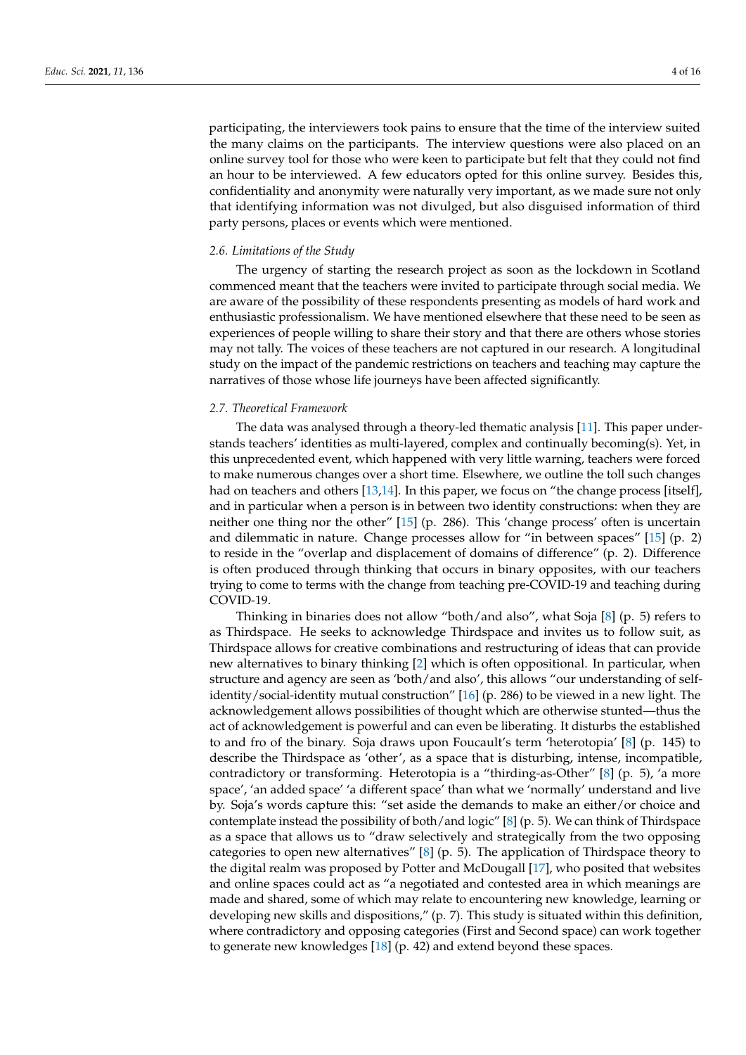participating, the interviewers took pains to ensure that the time of the interview suited the many claims on the participants. The interview questions were also placed on an online survey tool for those who were keen to participate but felt that they could not find an hour to be interviewed. A few educators opted for this online survey. Besides this, confidentiality and anonymity were naturally very important, as we made sure not only that identifying information was not divulged, but also disguised information of third party persons, places or events which were mentioned.

## *2.6. Limitations of the Study*

The urgency of starting the research project as soon as the lockdown in Scotland commenced meant that the teachers were invited to participate through social media. We are aware of the possibility of these respondents presenting as models of hard work and enthusiastic professionalism. We have mentioned elsewhere that these need to be seen as experiences of people willing to share their story and that there are others whose stories may not tally. The voices of these teachers are not captured in our research. A longitudinal study on the impact of the pandemic restrictions on teachers and teaching may capture the narratives of those whose life journeys have been affected significantly.

#### *2.7. Theoretical Framework*

The data was analysed through a theory-led thematic analysis [\[11\]](#page-14-5). This paper understands teachers' identities as multi-layered, complex and continually becoming(s). Yet, in this unprecedented event, which happened with very little warning, teachers were forced to make numerous changes over a short time. Elsewhere, we outline the toll such changes had on teachers and others [\[13](#page-14-7)[,14\]](#page-14-8). In this paper, we focus on "the change process [itself], and in particular when a person is in between two identity constructions: when they are neither one thing nor the other" [\[15\]](#page-14-9) (p. 286). This 'change process' often is uncertain and dilemmatic in nature. Change processes allow for "in between spaces" [\[15\]](#page-14-9) (p. 2) to reside in the "overlap and displacement of domains of difference" (p. 2). Difference is often produced through thinking that occurs in binary opposites, with our teachers trying to come to terms with the change from teaching pre-COVID-19 and teaching during COVID-19.

Thinking in binaries does not allow "both/and also", what Soja [\[8\]](#page-14-2) (p. 5) refers to as Thirdspace. He seeks to acknowledge Thirdspace and invites us to follow suit, as Thirdspace allows for creative combinations and restructuring of ideas that can provide new alternatives to binary thinking [\[2\]](#page-13-1) which is often oppositional. In particular, when structure and agency are seen as 'both/and also', this allows "our understanding of selfidentity/social-identity mutual construction" [\[16\]](#page-14-10) (p. 286) to be viewed in a new light. The acknowledgement allows possibilities of thought which are otherwise stunted—thus the act of acknowledgement is powerful and can even be liberating. It disturbs the established to and fro of the binary. Soja draws upon Foucault's term 'heterotopia' [\[8\]](#page-14-2) (p. 145) to describe the Thirdspace as 'other', as a space that is disturbing, intense, incompatible, contradictory or transforming. Heterotopia is a "thirding-as-Other" [\[8\]](#page-14-2) (p. 5), 'a more space', 'an added space' 'a different space' than what we 'normally' understand and live by. Soja's words capture this: "set aside the demands to make an either/or choice and contemplate instead the possibility of both/and logic" [\[8\]](#page-14-2) (p. 5). We can think of Thirdspace as a space that allows us to "draw selectively and strategically from the two opposing categories to open new alternatives" [\[8\]](#page-14-2) (p. 5). The application of Thirdspace theory to the digital realm was proposed by Potter and McDougall [\[17\]](#page-14-11), who posited that websites and online spaces could act as "a negotiated and contested area in which meanings are made and shared, some of which may relate to encountering new knowledge, learning or developing new skills and dispositions," (p. 7). This study is situated within this definition, where contradictory and opposing categories (First and Second space) can work together to generate new knowledges [\[18\]](#page-14-12) (p. 42) and extend beyond these spaces.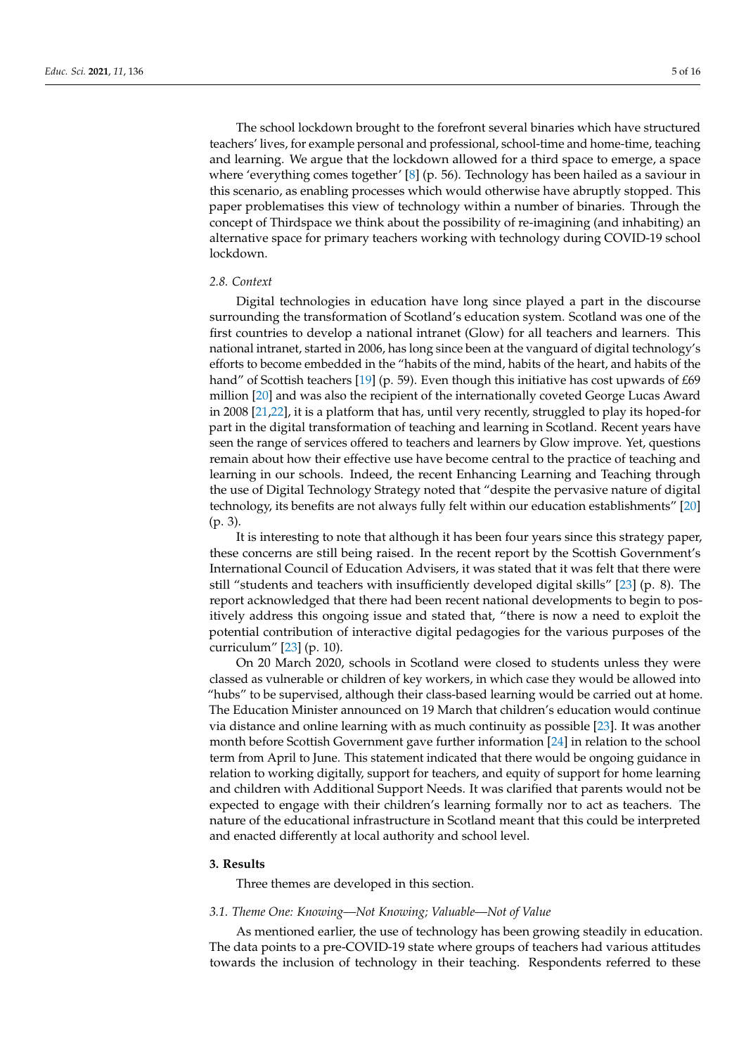The school lockdown brought to the forefront several binaries which have structured teachers' lives, for example personal and professional, school-time and home-time, teaching and learning. We argue that the lockdown allowed for a third space to emerge, a space where 'everything comes together' [\[8\]](#page-14-2) (p. 56). Technology has been hailed as a saviour in this scenario, as enabling processes which would otherwise have abruptly stopped. This paper problematises this view of technology within a number of binaries. Through the concept of Thirdspace we think about the possibility of re-imagining (and inhabiting) an alternative space for primary teachers working with technology during COVID-19 school lockdown.

# *2.8. Context*

Digital technologies in education have long since played a part in the discourse surrounding the transformation of Scotland's education system. Scotland was one of the first countries to develop a national intranet (Glow) for all teachers and learners. This national intranet, started in 2006, has long since been at the vanguard of digital technology's efforts to become embedded in the "habits of the mind, habits of the heart, and habits of the hand" of Scottish teachers [\[19\]](#page-14-13) (p. 59). Even though this initiative has cost upwards of £69 million [\[20\]](#page-14-14) and was also the recipient of the internationally coveted George Lucas Award in 2008 [\[21](#page-14-15)[,22\]](#page-14-16), it is a platform that has, until very recently, struggled to play its hoped-for part in the digital transformation of teaching and learning in Scotland. Recent years have seen the range of services offered to teachers and learners by Glow improve. Yet, questions remain about how their effective use have become central to the practice of teaching and learning in our schools. Indeed, the recent Enhancing Learning and Teaching through the use of Digital Technology Strategy noted that "despite the pervasive nature of digital technology, its benefits are not always fully felt within our education establishments" [\[20\]](#page-14-14) (p. 3).

It is interesting to note that although it has been four years since this strategy paper, these concerns are still being raised. In the recent report by the Scottish Government's International Council of Education Advisers, it was stated that it was felt that there were still "students and teachers with insufficiently developed digital skills" [\[23\]](#page-14-17) (p. 8). The report acknowledged that there had been recent national developments to begin to positively address this ongoing issue and stated that, "there is now a need to exploit the potential contribution of interactive digital pedagogies for the various purposes of the curriculum" [\[23\]](#page-14-17) (p. 10).

On 20 March 2020, schools in Scotland were closed to students unless they were classed as vulnerable or children of key workers, in which case they would be allowed into "hubs" to be supervised, although their class-based learning would be carried out at home. The Education Minister announced on 19 March that children's education would continue via distance and online learning with as much continuity as possible [\[23\]](#page-14-17). It was another month before Scottish Government gave further information [\[24\]](#page-14-18) in relation to the school term from April to June. This statement indicated that there would be ongoing guidance in relation to working digitally, support for teachers, and equity of support for home learning and children with Additional Support Needs. It was clarified that parents would not be expected to engage with their children's learning formally nor to act as teachers. The nature of the educational infrastructure in Scotland meant that this could be interpreted and enacted differently at local authority and school level.

#### **3. Results**

Three themes are developed in this section.

## *3.1. Theme One: Knowing—Not Knowing; Valuable—Not of Value*

As mentioned earlier, the use of technology has been growing steadily in education. The data points to a pre-COVID-19 state where groups of teachers had various attitudes towards the inclusion of technology in their teaching. Respondents referred to these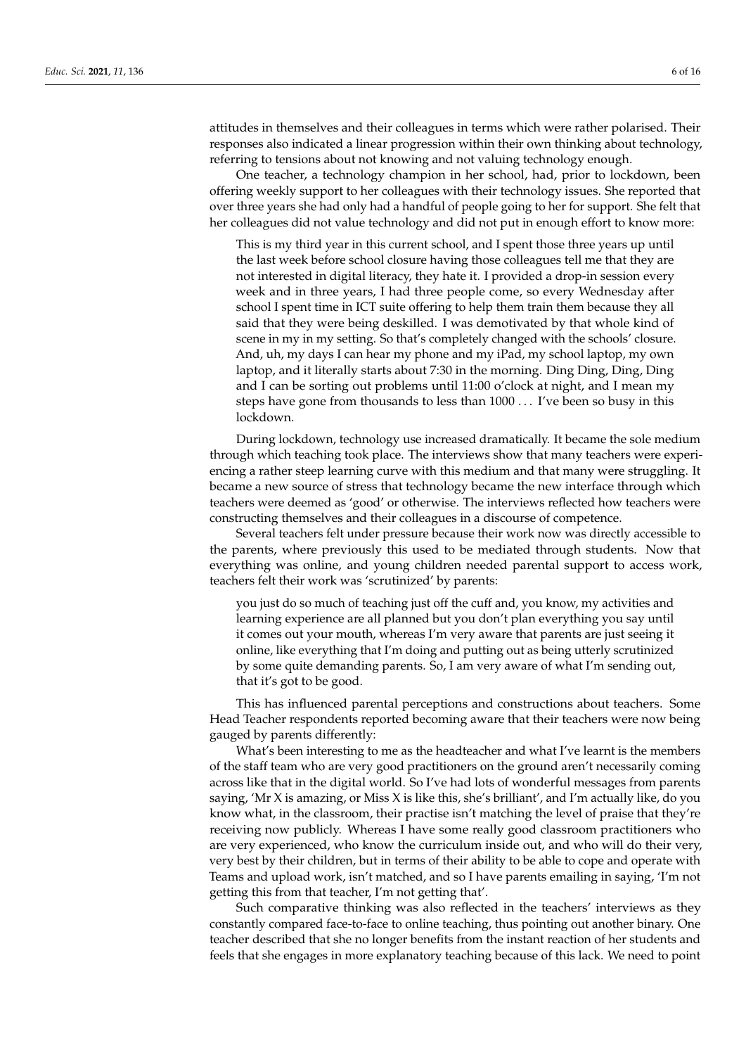attitudes in themselves and their colleagues in terms which were rather polarised. Their responses also indicated a linear progression within their own thinking about technology, referring to tensions about not knowing and not valuing technology enough.

One teacher, a technology champion in her school, had, prior to lockdown, been offering weekly support to her colleagues with their technology issues. She reported that over three years she had only had a handful of people going to her for support. She felt that her colleagues did not value technology and did not put in enough effort to know more:

This is my third year in this current school, and I spent those three years up until the last week before school closure having those colleagues tell me that they are not interested in digital literacy, they hate it. I provided a drop-in session every week and in three years, I had three people come, so every Wednesday after school I spent time in ICT suite offering to help them train them because they all said that they were being deskilled. I was demotivated by that whole kind of scene in my in my setting. So that's completely changed with the schools' closure. And, uh, my days I can hear my phone and my iPad, my school laptop, my own laptop, and it literally starts about 7:30 in the morning. Ding Ding, Ding, Ding and I can be sorting out problems until 11:00 o'clock at night, and I mean my steps have gone from thousands to less than 1000 . . . I've been so busy in this lockdown.

During lockdown, technology use increased dramatically. It became the sole medium through which teaching took place. The interviews show that many teachers were experiencing a rather steep learning curve with this medium and that many were struggling. It became a new source of stress that technology became the new interface through which teachers were deemed as 'good' or otherwise. The interviews reflected how teachers were constructing themselves and their colleagues in a discourse of competence.

Several teachers felt under pressure because their work now was directly accessible to the parents, where previously this used to be mediated through students. Now that everything was online, and young children needed parental support to access work, teachers felt their work was 'scrutinized' by parents:

you just do so much of teaching just off the cuff and, you know, my activities and learning experience are all planned but you don't plan everything you say until it comes out your mouth, whereas I'm very aware that parents are just seeing it online, like everything that I'm doing and putting out as being utterly scrutinized by some quite demanding parents. So, I am very aware of what I'm sending out, that it's got to be good.

This has influenced parental perceptions and constructions about teachers. Some Head Teacher respondents reported becoming aware that their teachers were now being gauged by parents differently:

What's been interesting to me as the headteacher and what I've learnt is the members of the staff team who are very good practitioners on the ground aren't necessarily coming across like that in the digital world. So I've had lots of wonderful messages from parents saying, 'Mr X is amazing, or Miss X is like this, she's brilliant', and I'm actually like, do you know what, in the classroom, their practise isn't matching the level of praise that they're receiving now publicly. Whereas I have some really good classroom practitioners who are very experienced, who know the curriculum inside out, and who will do their very, very best by their children, but in terms of their ability to be able to cope and operate with Teams and upload work, isn't matched, and so I have parents emailing in saying, 'I'm not getting this from that teacher, I'm not getting that'.

Such comparative thinking was also reflected in the teachers' interviews as they constantly compared face-to-face to online teaching, thus pointing out another binary. One teacher described that she no longer benefits from the instant reaction of her students and feels that she engages in more explanatory teaching because of this lack. We need to point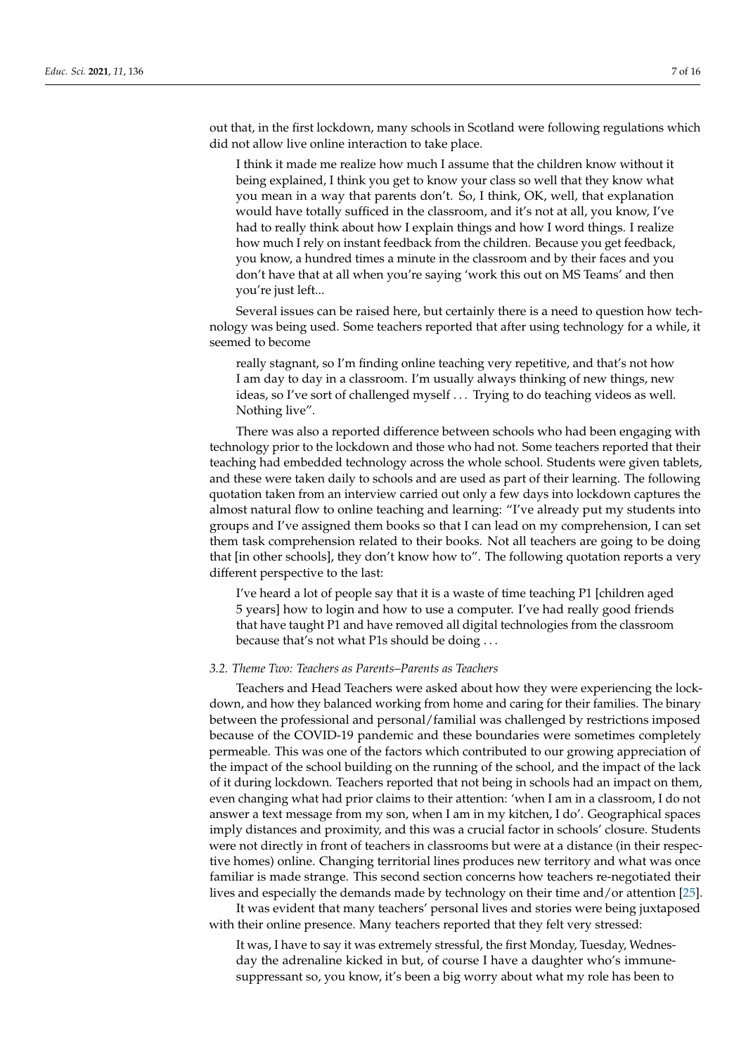out that, in the first lockdown, many schools in Scotland were following regulations which did not allow live online interaction to take place.

I think it made me realize how much I assume that the children know without it being explained, I think you get to know your class so well that they know what you mean in a way that parents don't. So, I think, OK, well, that explanation would have totally sufficed in the classroom, and it's not at all, you know, I've had to really think about how I explain things and how I word things. I realize how much I rely on instant feedback from the children. Because you get feedback, you know, a hundred times a minute in the classroom and by their faces and you don't have that at all when you're saying 'work this out on MS Teams' and then you're just left...

Several issues can be raised here, but certainly there is a need to question how technology was being used. Some teachers reported that after using technology for a while, it seemed to become

really stagnant, so I'm finding online teaching very repetitive, and that's not how I am day to day in a classroom. I'm usually always thinking of new things, new ideas, so I've sort of challenged myself . . . Trying to do teaching videos as well. Nothing live".

There was also a reported difference between schools who had been engaging with technology prior to the lockdown and those who had not. Some teachers reported that their teaching had embedded technology across the whole school. Students were given tablets, and these were taken daily to schools and are used as part of their learning. The following quotation taken from an interview carried out only a few days into lockdown captures the almost natural flow to online teaching and learning: "I've already put my students into groups and I've assigned them books so that I can lead on my comprehension, I can set them task comprehension related to their books. Not all teachers are going to be doing that [in other schools], they don't know how to". The following quotation reports a very different perspective to the last:

I've heard a lot of people say that it is a waste of time teaching P1 [children aged 5 years] how to login and how to use a computer. I've had really good friends that have taught P1 and have removed all digital technologies from the classroom because that's not what P1s should be doing . . .

## *3.2. Theme Two: Teachers as Parents–Parents as Teachers*

Teachers and Head Teachers were asked about how they were experiencing the lockdown, and how they balanced working from home and caring for their families. The binary between the professional and personal/familial was challenged by restrictions imposed because of the COVID-19 pandemic and these boundaries were sometimes completely permeable. This was one of the factors which contributed to our growing appreciation of the impact of the school building on the running of the school, and the impact of the lack of it during lockdown. Teachers reported that not being in schools had an impact on them, even changing what had prior claims to their attention: 'when I am in a classroom, I do not answer a text message from my son, when I am in my kitchen, I do'. Geographical spaces imply distances and proximity, and this was a crucial factor in schools' closure. Students were not directly in front of teachers in classrooms but were at a distance (in their respective homes) online. Changing territorial lines produces new territory and what was once familiar is made strange. This second section concerns how teachers re-negotiated their lives and especially the demands made by technology on their time and/or attention [\[25\]](#page-14-19).

It was evident that many teachers' personal lives and stories were being juxtaposed with their online presence. Many teachers reported that they felt very stressed:

It was, I have to say it was extremely stressful, the first Monday, Tuesday, Wednesday the adrenaline kicked in but, of course I have a daughter who's immunesuppressant so, you know, it's been a big worry about what my role has been to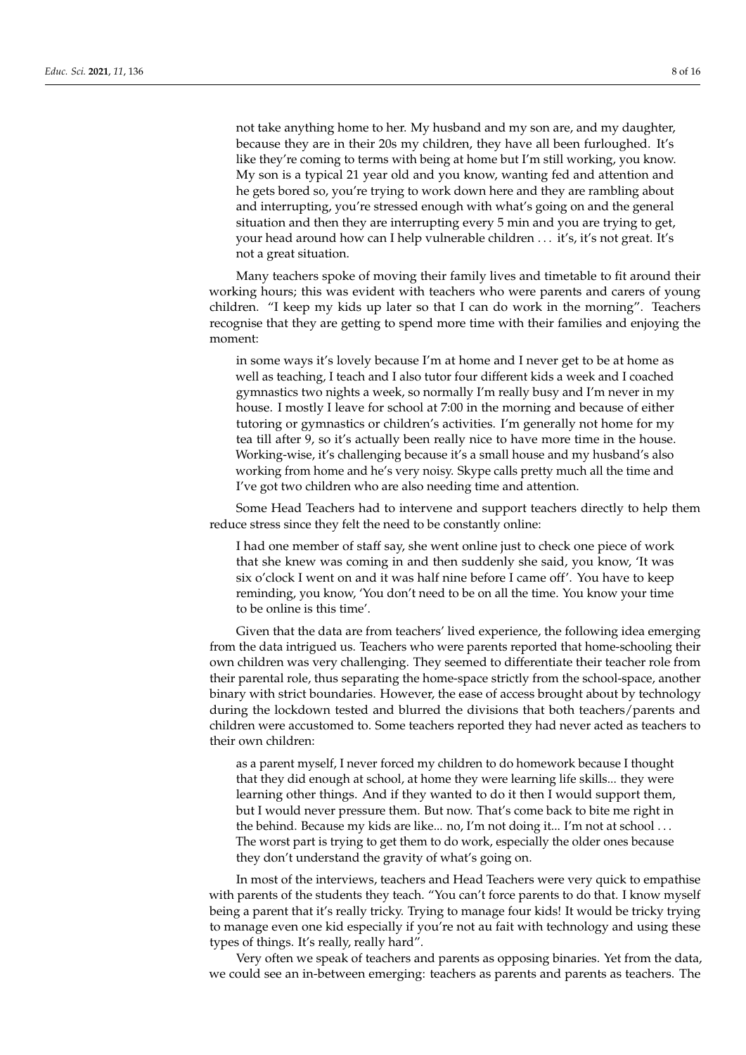not take anything home to her. My husband and my son are, and my daughter, because they are in their 20s my children, they have all been furloughed. It's like they're coming to terms with being at home but I'm still working, you know. My son is a typical 21 year old and you know, wanting fed and attention and he gets bored so, you're trying to work down here and they are rambling about and interrupting, you're stressed enough with what's going on and the general situation and then they are interrupting every 5 min and you are trying to get, your head around how can I help vulnerable children ... it's, it's not great. It's not a great situation.

Many teachers spoke of moving their family lives and timetable to fit around their working hours; this was evident with teachers who were parents and carers of young children. "I keep my kids up later so that I can do work in the morning". Teachers recognise that they are getting to spend more time with their families and enjoying the moment:

in some ways it's lovely because I'm at home and I never get to be at home as well as teaching, I teach and I also tutor four different kids a week and I coached gymnastics two nights a week, so normally I'm really busy and I'm never in my house. I mostly I leave for school at 7:00 in the morning and because of either tutoring or gymnastics or children's activities. I'm generally not home for my tea till after 9, so it's actually been really nice to have more time in the house. Working-wise, it's challenging because it's a small house and my husband's also working from home and he's very noisy. Skype calls pretty much all the time and I've got two children who are also needing time and attention.

Some Head Teachers had to intervene and support teachers directly to help them reduce stress since they felt the need to be constantly online:

I had one member of staff say, she went online just to check one piece of work that she knew was coming in and then suddenly she said, you know, 'It was six o'clock I went on and it was half nine before I came off'. You have to keep reminding, you know, 'You don't need to be on all the time. You know your time to be online is this time'.

Given that the data are from teachers' lived experience, the following idea emerging from the data intrigued us. Teachers who were parents reported that home-schooling their own children was very challenging. They seemed to differentiate their teacher role from their parental role, thus separating the home-space strictly from the school-space, another binary with strict boundaries. However, the ease of access brought about by technology during the lockdown tested and blurred the divisions that both teachers/parents and children were accustomed to. Some teachers reported they had never acted as teachers to their own children:

as a parent myself, I never forced my children to do homework because I thought that they did enough at school, at home they were learning life skills... they were learning other things. And if they wanted to do it then I would support them, but I would never pressure them. But now. That's come back to bite me right in the behind. Because my kids are like... no, I'm not doing it... I'm not at school . . . The worst part is trying to get them to do work, especially the older ones because they don't understand the gravity of what's going on.

In most of the interviews, teachers and Head Teachers were very quick to empathise with parents of the students they teach. "You can't force parents to do that. I know myself being a parent that it's really tricky. Trying to manage four kids! It would be tricky trying to manage even one kid especially if you're not au fait with technology and using these types of things. It's really, really hard".

Very often we speak of teachers and parents as opposing binaries. Yet from the data, we could see an in-between emerging: teachers as parents and parents as teachers. The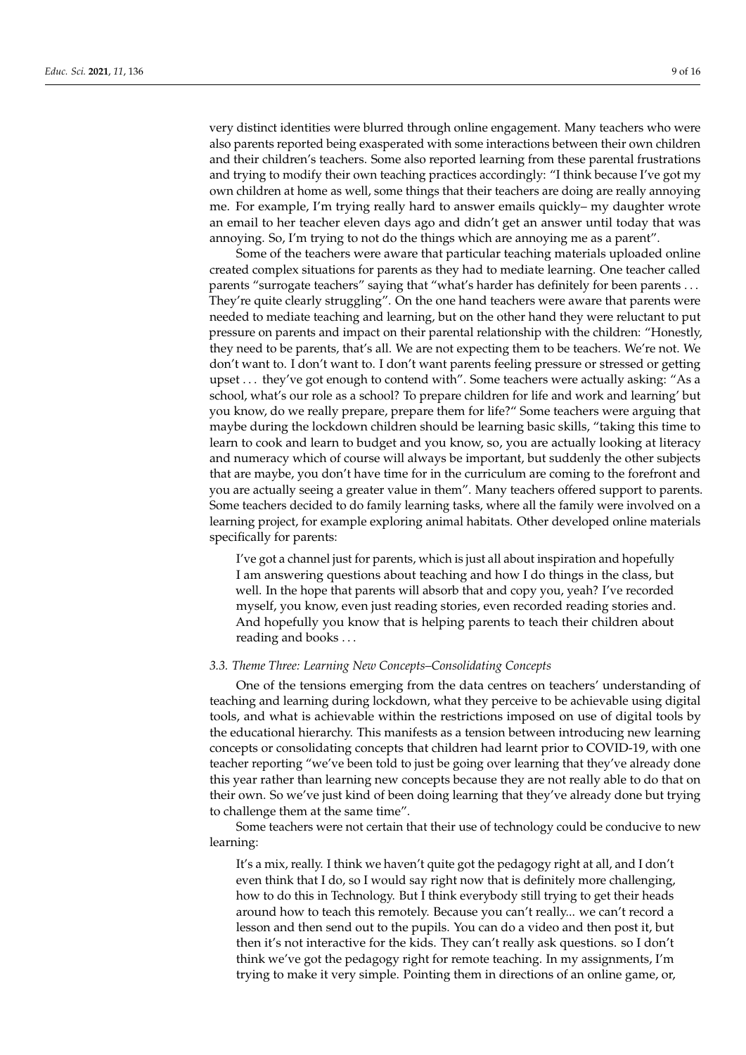very distinct identities were blurred through online engagement. Many teachers who were also parents reported being exasperated with some interactions between their own children and their children's teachers. Some also reported learning from these parental frustrations and trying to modify their own teaching practices accordingly: "I think because I've got my own children at home as well, some things that their teachers are doing are really annoying me. For example, I'm trying really hard to answer emails quickly– my daughter wrote an email to her teacher eleven days ago and didn't get an answer until today that was annoying. So, I'm trying to not do the things which are annoying me as a parent".

Some of the teachers were aware that particular teaching materials uploaded online created complex situations for parents as they had to mediate learning. One teacher called parents "surrogate teachers" saying that "what's harder has definitely for been parents ... They're quite clearly struggling". On the one hand teachers were aware that parents were needed to mediate teaching and learning, but on the other hand they were reluctant to put pressure on parents and impact on their parental relationship with the children: "Honestly, they need to be parents, that's all. We are not expecting them to be teachers. We're not. We don't want to. I don't want to. I don't want parents feeling pressure or stressed or getting upset . . . they've got enough to contend with". Some teachers were actually asking: "As a school, what's our role as a school? To prepare children for life and work and learning' but you know, do we really prepare, prepare them for life?" Some teachers were arguing that maybe during the lockdown children should be learning basic skills, "taking this time to learn to cook and learn to budget and you know, so, you are actually looking at literacy and numeracy which of course will always be important, but suddenly the other subjects that are maybe, you don't have time for in the curriculum are coming to the forefront and you are actually seeing a greater value in them". Many teachers offered support to parents. Some teachers decided to do family learning tasks, where all the family were involved on a learning project, for example exploring animal habitats. Other developed online materials specifically for parents:

I've got a channel just for parents, which is just all about inspiration and hopefully I am answering questions about teaching and how I do things in the class, but well. In the hope that parents will absorb that and copy you, yeah? I've recorded myself, you know, even just reading stories, even recorded reading stories and. And hopefully you know that is helping parents to teach their children about reading and books . . .

# *3.3. Theme Three: Learning New Concepts–Consolidating Concepts*

One of the tensions emerging from the data centres on teachers' understanding of teaching and learning during lockdown, what they perceive to be achievable using digital tools, and what is achievable within the restrictions imposed on use of digital tools by the educational hierarchy. This manifests as a tension between introducing new learning concepts or consolidating concepts that children had learnt prior to COVID-19, with one teacher reporting "we've been told to just be going over learning that they've already done this year rather than learning new concepts because they are not really able to do that on their own. So we've just kind of been doing learning that they've already done but trying to challenge them at the same time".

Some teachers were not certain that their use of technology could be conducive to new learning:

It's a mix, really. I think we haven't quite got the pedagogy right at all, and I don't even think that I do, so I would say right now that is definitely more challenging, how to do this in Technology. But I think everybody still trying to get their heads around how to teach this remotely. Because you can't really... we can't record a lesson and then send out to the pupils. You can do a video and then post it, but then it's not interactive for the kids. They can't really ask questions. so I don't think we've got the pedagogy right for remote teaching. In my assignments, I'm trying to make it very simple. Pointing them in directions of an online game, or,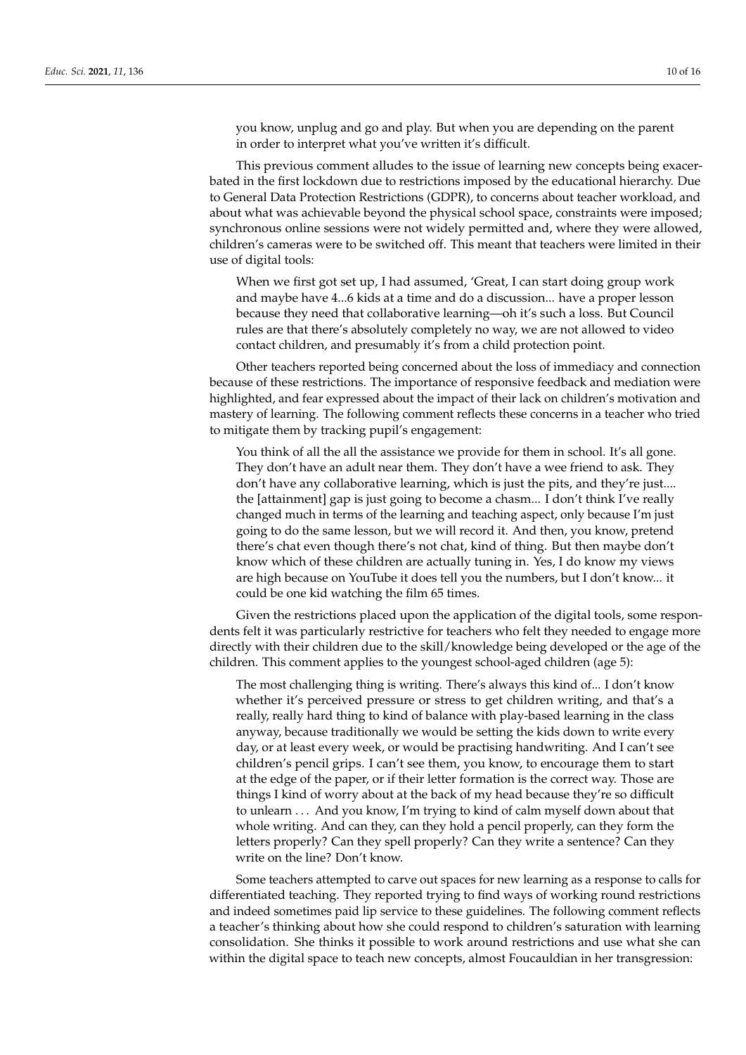you know, unplug and go and play. But when you are depending on the parent in order to interpret what you've written it's difficult.

This previous comment alludes to the issue of learning new concepts being exacerbated in the first lockdown due to restrictions imposed by the educational hierarchy. Due to General Data Protection Restrictions (GDPR), to concerns about teacher workload, and about what was achievable beyond the physical school space, constraints were imposed; synchronous online sessions were not widely permitted and, where they were allowed, children's cameras were to be switched off. This meant that teachers were limited in their use of digital tools:

When we first got set up, I had assumed, 'Great, I can start doing group work and maybe have 4...6 kids at a time and do a discussion... have a proper lesson because they need that collaborative learning—oh it's such a loss. But Council rules are that there's absolutely completely no way, we are not allowed to video contact children, and presumably it's from a child protection point.

Other teachers reported being concerned about the loss of immediacy and connection because of these restrictions. The importance of responsive feedback and mediation were highlighted, and fear expressed about the impact of their lack on children's motivation and mastery of learning. The following comment reflects these concerns in a teacher who tried to mitigate them by tracking pupil's engagement:

You think of all the all the assistance we provide for them in school. It's all gone. They don't have an adult near them. They don't have a wee friend to ask. They don't have any collaborative learning, which is just the pits, and they're just.... the [attainment] gap is just going to become a chasm... I don't think I've really changed much in terms of the learning and teaching aspect, only because I'm just going to do the same lesson, but we will record it. And then, you know, pretend there's chat even though there's not chat, kind of thing. But then maybe don't know which of these children are actually tuning in. Yes, I do know my views are high because on YouTube it does tell you the numbers, but I don't know... it could be one kid watching the film 65 times.

Given the restrictions placed upon the application of the digital tools, some respondents felt it was particularly restrictive for teachers who felt they needed to engage more directly with their children due to the skill/knowledge being developed or the age of the children. This comment applies to the youngest school-aged children (age 5):

The most challenging thing is writing. There's always this kind of... I don't know whether it's perceived pressure or stress to get children writing, and that's a really, really hard thing to kind of balance with play-based learning in the class anyway, because traditionally we would be setting the kids down to write every day, or at least every week, or would be practising handwriting. And I can't see children's pencil grips. I can't see them, you know, to encourage them to start at the edge of the paper, or if their letter formation is the correct way. Those are things I kind of worry about at the back of my head because they're so difficult to unlearn . . . And you know, I'm trying to kind of calm myself down about that whole writing. And can they, can they hold a pencil properly, can they form the letters properly? Can they spell properly? Can they write a sentence? Can they write on the line? Don't know.

Some teachers attempted to carve out spaces for new learning as a response to calls for differentiated teaching. They reported trying to find ways of working round restrictions and indeed sometimes paid lip service to these guidelines. The following comment reflects a teacher's thinking about how she could respond to children's saturation with learning consolidation. She thinks it possible to work around restrictions and use what she can within the digital space to teach new concepts, almost Foucauldian in her transgression: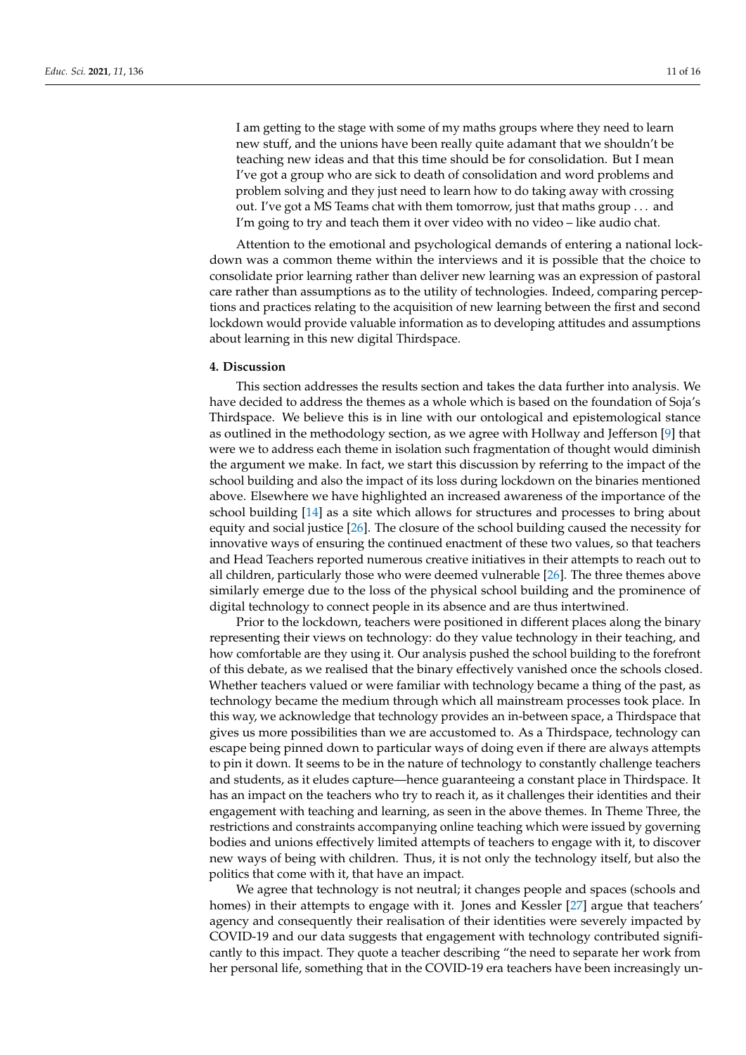I am getting to the stage with some of my maths groups where they need to learn new stuff, and the unions have been really quite adamant that we shouldn't be teaching new ideas and that this time should be for consolidation. But I mean I've got a group who are sick to death of consolidation and word problems and problem solving and they just need to learn how to do taking away with crossing out. I've got a MS Teams chat with them tomorrow, just that maths group . . . and I'm going to try and teach them it over video with no video – like audio chat.

Attention to the emotional and psychological demands of entering a national lockdown was a common theme within the interviews and it is possible that the choice to consolidate prior learning rather than deliver new learning was an expression of pastoral care rather than assumptions as to the utility of technologies. Indeed, comparing perceptions and practices relating to the acquisition of new learning between the first and second lockdown would provide valuable information as to developing attitudes and assumptions about learning in this new digital Thirdspace.

#### **4. Discussion**

This section addresses the results section and takes the data further into analysis. We have decided to address the themes as a whole which is based on the foundation of Soja's Thirdspace. We believe this is in line with our ontological and epistemological stance as outlined in the methodology section, as we agree with Hollway and Jefferson [\[9\]](#page-14-3) that were we to address each theme in isolation such fragmentation of thought would diminish the argument we make. In fact, we start this discussion by referring to the impact of the school building and also the impact of its loss during lockdown on the binaries mentioned above. Elsewhere we have highlighted an increased awareness of the importance of the school building [\[14\]](#page-14-8) as a site which allows for structures and processes to bring about equity and social justice [\[26\]](#page-14-20). The closure of the school building caused the necessity for innovative ways of ensuring the continued enactment of these two values, so that teachers and Head Teachers reported numerous creative initiatives in their attempts to reach out to all children, particularly those who were deemed vulnerable [\[26\]](#page-14-20). The three themes above similarly emerge due to the loss of the physical school building and the prominence of digital technology to connect people in its absence and are thus intertwined.

Prior to the lockdown, teachers were positioned in different places along the binary representing their views on technology: do they value technology in their teaching, and how comfortable are they using it. Our analysis pushed the school building to the forefront of this debate, as we realised that the binary effectively vanished once the schools closed. Whether teachers valued or were familiar with technology became a thing of the past, as technology became the medium through which all mainstream processes took place. In this way, we acknowledge that technology provides an in-between space, a Thirdspace that gives us more possibilities than we are accustomed to. As a Thirdspace, technology can escape being pinned down to particular ways of doing even if there are always attempts to pin it down. It seems to be in the nature of technology to constantly challenge teachers and students, as it eludes capture—hence guaranteeing a constant place in Thirdspace. It has an impact on the teachers who try to reach it, as it challenges their identities and their engagement with teaching and learning, as seen in the above themes. In Theme Three, the restrictions and constraints accompanying online teaching which were issued by governing bodies and unions effectively limited attempts of teachers to engage with it, to discover new ways of being with children. Thus, it is not only the technology itself, but also the politics that come with it, that have an impact.

We agree that technology is not neutral; it changes people and spaces (schools and homes) in their attempts to engage with it. Jones and Kessler [\[27\]](#page-14-21) argue that teachers' agency and consequently their realisation of their identities were severely impacted by COVID-19 and our data suggests that engagement with technology contributed significantly to this impact. They quote a teacher describing "the need to separate her work from her personal life, something that in the COVID-19 era teachers have been increasingly un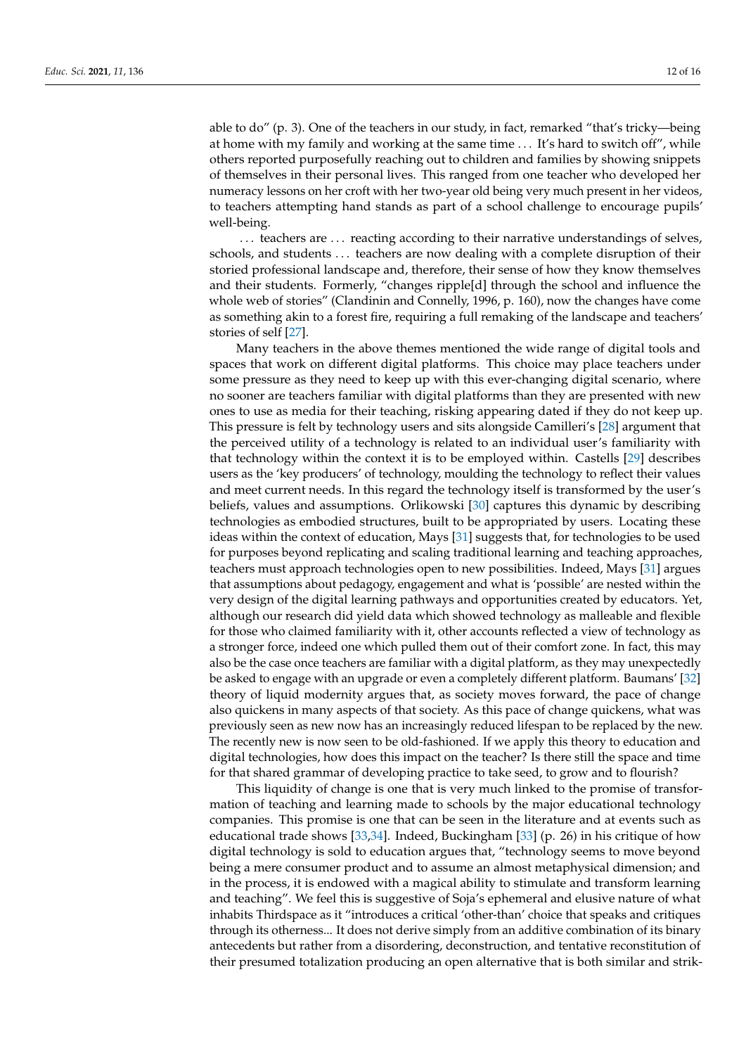able to do" (p. 3). One of the teachers in our study, in fact, remarked "that's tricky—being at home with my family and working at the same time ... It's hard to switch off", while others reported purposefully reaching out to children and families by showing snippets of themselves in their personal lives. This ranged from one teacher who developed her numeracy lessons on her croft with her two-year old being very much present in her videos, to teachers attempting hand stands as part of a school challenge to encourage pupils' well-being.

... teachers are ... reacting according to their narrative understandings of selves, schools, and students . . . teachers are now dealing with a complete disruption of their storied professional landscape and, therefore, their sense of how they know themselves and their students. Formerly, "changes ripple[d] through the school and influence the whole web of stories" (Clandinin and Connelly, 1996, p. 160), now the changes have come as something akin to a forest fire, requiring a full remaking of the landscape and teachers' stories of self [\[27\]](#page-14-21).

Many teachers in the above themes mentioned the wide range of digital tools and spaces that work on different digital platforms. This choice may place teachers under some pressure as they need to keep up with this ever-changing digital scenario, where no sooner are teachers familiar with digital platforms than they are presented with new ones to use as media for their teaching, risking appearing dated if they do not keep up. This pressure is felt by technology users and sits alongside Camilleri's [\[28\]](#page-14-22) argument that the perceived utility of a technology is related to an individual user's familiarity with that technology within the context it is to be employed within. Castells [\[29\]](#page-14-23) describes users as the 'key producers' of technology, moulding the technology to reflect their values and meet current needs. In this regard the technology itself is transformed by the user's beliefs, values and assumptions. Orlikowski [\[30\]](#page-14-24) captures this dynamic by describing technologies as embodied structures, built to be appropriated by users. Locating these ideas within the context of education, Mays [\[31\]](#page-14-25) suggests that, for technologies to be used for purposes beyond replicating and scaling traditional learning and teaching approaches, teachers must approach technologies open to new possibilities. Indeed, Mays [\[31\]](#page-14-25) argues that assumptions about pedagogy, engagement and what is 'possible' are nested within the very design of the digital learning pathways and opportunities created by educators. Yet, although our research did yield data which showed technology as malleable and flexible for those who claimed familiarity with it, other accounts reflected a view of technology as a stronger force, indeed one which pulled them out of their comfort zone. In fact, this may also be the case once teachers are familiar with a digital platform, as they may unexpectedly be asked to engage with an upgrade or even a completely different platform. Baumans' [\[32\]](#page-14-26) theory of liquid modernity argues that, as society moves forward, the pace of change also quickens in many aspects of that society. As this pace of change quickens, what was previously seen as new now has an increasingly reduced lifespan to be replaced by the new. The recently new is now seen to be old-fashioned. If we apply this theory to education and digital technologies, how does this impact on the teacher? Is there still the space and time for that shared grammar of developing practice to take seed, to grow and to flourish?

This liquidity of change is one that is very much linked to the promise of transformation of teaching and learning made to schools by the major educational technology companies. This promise is one that can be seen in the literature and at events such as educational trade shows [\[33](#page-14-27)[,34\]](#page-14-28). Indeed, Buckingham [\[33\]](#page-14-27) (p. 26) in his critique of how digital technology is sold to education argues that, "technology seems to move beyond being a mere consumer product and to assume an almost metaphysical dimension; and in the process, it is endowed with a magical ability to stimulate and transform learning and teaching". We feel this is suggestive of Soja's ephemeral and elusive nature of what inhabits Thirdspace as it "introduces a critical 'other-than' choice that speaks and critiques through its otherness... It does not derive simply from an additive combination of its binary antecedents but rather from a disordering, deconstruction, and tentative reconstitution of their presumed totalization producing an open alternative that is both similar and strik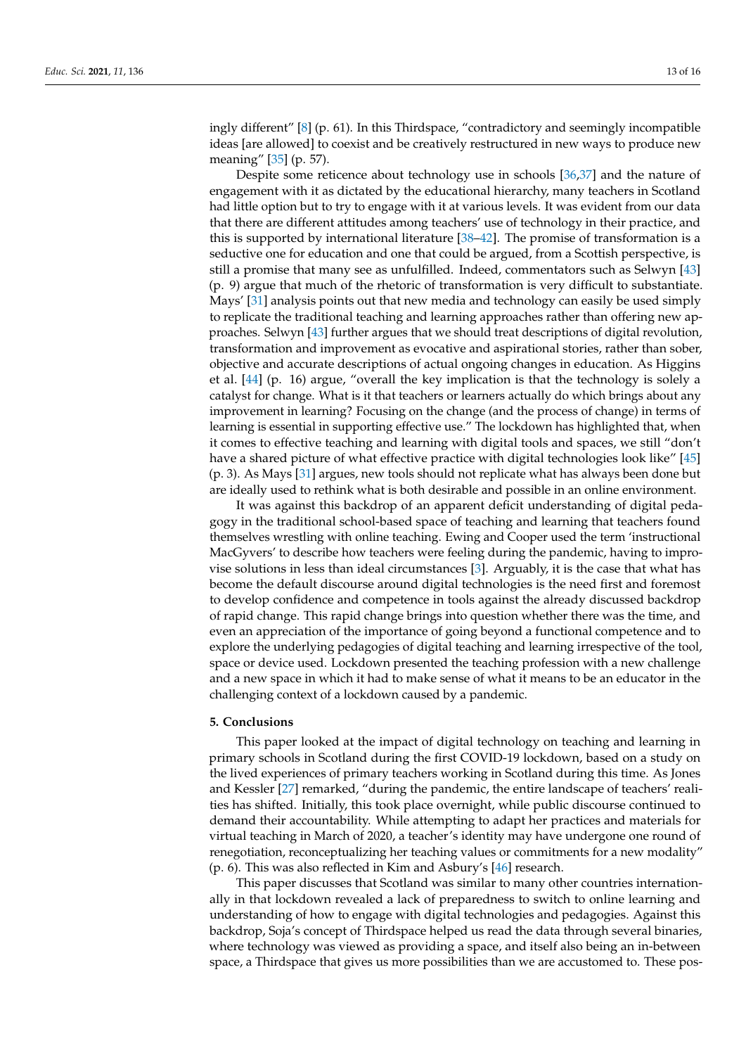ingly different" [\[8\]](#page-14-2) (p. 61). In this Thirdspace, "contradictory and seemingly incompatible ideas [are allowed] to coexist and be creatively restructured in new ways to produce new meaning" [\[35\]](#page-14-29) (p. 57).

Despite some reticence about technology use in schools [\[36,](#page-14-30)[37\]](#page-14-31) and the nature of engagement with it as dictated by the educational hierarchy, many teachers in Scotland had little option but to try to engage with it at various levels. It was evident from our data that there are different attitudes among teachers' use of technology in their practice, and this is supported by international literature  $[38–42]$  $[38–42]$ . The promise of transformation is a seductive one for education and one that could be argued, from a Scottish perspective, is still a promise that many see as unfulfilled. Indeed, commentators such as Selwyn [\[43\]](#page-15-1) (p. 9) argue that much of the rhetoric of transformation is very difficult to substantiate. Mays' [\[31\]](#page-14-25) analysis points out that new media and technology can easily be used simply to replicate the traditional teaching and learning approaches rather than offering new approaches. Selwyn [\[43\]](#page-15-1) further argues that we should treat descriptions of digital revolution, transformation and improvement as evocative and aspirational stories, rather than sober, objective and accurate descriptions of actual ongoing changes in education. As Higgins et al. [\[44\]](#page-15-2) (p. 16) argue, "overall the key implication is that the technology is solely a catalyst for change. What is it that teachers or learners actually do which brings about any improvement in learning? Focusing on the change (and the process of change) in terms of learning is essential in supporting effective use." The lockdown has highlighted that, when it comes to effective teaching and learning with digital tools and spaces, we still "don't have a shared picture of what effective practice with digital technologies look like" [\[45\]](#page-15-3) (p. 3). As Mays [\[31\]](#page-14-25) argues, new tools should not replicate what has always been done but are ideally used to rethink what is both desirable and possible in an online environment.

It was against this backdrop of an apparent deficit understanding of digital pedagogy in the traditional school-based space of teaching and learning that teachers found themselves wrestling with online teaching. Ewing and Cooper used the term 'instructional MacGyvers' to describe how teachers were feeling during the pandemic, having to improvise solutions in less than ideal circumstances [\[3\]](#page-13-2). Arguably, it is the case that what has become the default discourse around digital technologies is the need first and foremost to develop confidence and competence in tools against the already discussed backdrop of rapid change. This rapid change brings into question whether there was the time, and even an appreciation of the importance of going beyond a functional competence and to explore the underlying pedagogies of digital teaching and learning irrespective of the tool, space or device used. Lockdown presented the teaching profession with a new challenge and a new space in which it had to make sense of what it means to be an educator in the challenging context of a lockdown caused by a pandemic.

#### **5. Conclusions**

This paper looked at the impact of digital technology on teaching and learning in primary schools in Scotland during the first COVID-19 lockdown, based on a study on the lived experiences of primary teachers working in Scotland during this time. As Jones and Kessler [\[27\]](#page-14-21) remarked, "during the pandemic, the entire landscape of teachers' realities has shifted. Initially, this took place overnight, while public discourse continued to demand their accountability. While attempting to adapt her practices and materials for virtual teaching in March of 2020, a teacher's identity may have undergone one round of renegotiation, reconceptualizing her teaching values or commitments for a new modality" (p. 6). This was also reflected in Kim and Asbury's [\[46\]](#page-15-4) research.

This paper discusses that Scotland was similar to many other countries internationally in that lockdown revealed a lack of preparedness to switch to online learning and understanding of how to engage with digital technologies and pedagogies. Against this backdrop, Soja's concept of Thirdspace helped us read the data through several binaries, where technology was viewed as providing a space, and itself also being an in-between space, a Thirdspace that gives us more possibilities than we are accustomed to. These pos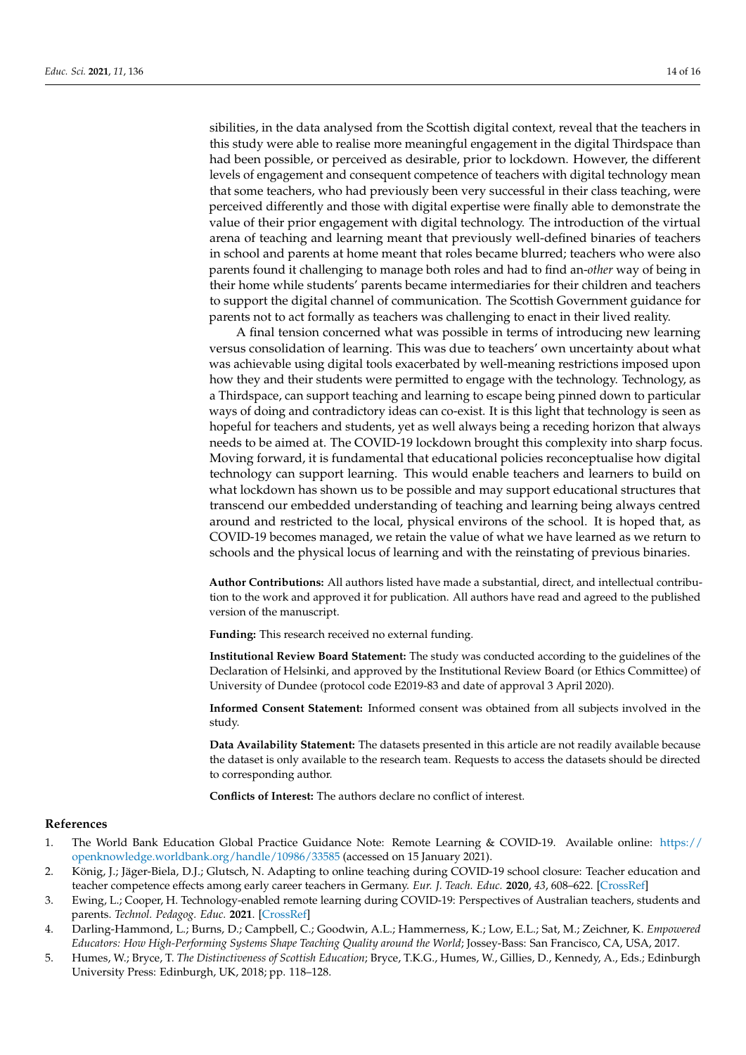sibilities, in the data analysed from the Scottish digital context, reveal that the teachers in this study were able to realise more meaningful engagement in the digital Thirdspace than had been possible, or perceived as desirable, prior to lockdown. However, the different levels of engagement and consequent competence of teachers with digital technology mean that some teachers, who had previously been very successful in their class teaching, were perceived differently and those with digital expertise were finally able to demonstrate the value of their prior engagement with digital technology. The introduction of the virtual arena of teaching and learning meant that previously well-defined binaries of teachers in school and parents at home meant that roles became blurred; teachers who were also parents found it challenging to manage both roles and had to find an-*other* way of being in their home while students' parents became intermediaries for their children and teachers to support the digital channel of communication. The Scottish Government guidance for parents not to act formally as teachers was challenging to enact in their lived reality.

A final tension concerned what was possible in terms of introducing new learning versus consolidation of learning. This was due to teachers' own uncertainty about what was achievable using digital tools exacerbated by well-meaning restrictions imposed upon how they and their students were permitted to engage with the technology. Technology, as a Thirdspace, can support teaching and learning to escape being pinned down to particular ways of doing and contradictory ideas can co-exist. It is this light that technology is seen as hopeful for teachers and students, yet as well always being a receding horizon that always needs to be aimed at. The COVID-19 lockdown brought this complexity into sharp focus. Moving forward, it is fundamental that educational policies reconceptualise how digital technology can support learning. This would enable teachers and learners to build on what lockdown has shown us to be possible and may support educational structures that transcend our embedded understanding of teaching and learning being always centred around and restricted to the local, physical environs of the school. It is hoped that, as COVID-19 becomes managed, we retain the value of what we have learned as we return to schools and the physical locus of learning and with the reinstating of previous binaries.

**Author Contributions:** All authors listed have made a substantial, direct, and intellectual contribution to the work and approved it for publication. All authors have read and agreed to the published version of the manuscript.

**Funding:** This research received no external funding.

**Institutional Review Board Statement:** The study was conducted according to the guidelines of the Declaration of Helsinki, and approved by the Institutional Review Board (or Ethics Committee) of University of Dundee (protocol code E2019-83 and date of approval 3 April 2020).

**Informed Consent Statement:** Informed consent was obtained from all subjects involved in the study.

**Data Availability Statement:** The datasets presented in this article are not readily available because the dataset is only available to the research team. Requests to access the datasets should be directed to corresponding author.

**Conflicts of Interest:** The authors declare no conflict of interest.

#### **References**

- <span id="page-13-0"></span>1. The World Bank Education Global Practice Guidance Note: Remote Learning & COVID-19. Available online: [https://](https://openknowledge.worldbank.org/handle/10986/33585) [openknowledge.worldbank.org/handle/10986/33585](https://openknowledge.worldbank.org/handle/10986/33585) (accessed on 15 January 2021).
- <span id="page-13-1"></span>2. König, J.; Jäger-Biela, D.J.; Glutsch, N. Adapting to online teaching during COVID-19 school closure: Teacher education and teacher competence effects among early career teachers in Germany. *Eur. J. Teach. Educ.* **2020**, *43*, 608–622. [\[CrossRef\]](http://doi.org/10.1080/02619768.2020.1809650)
- <span id="page-13-2"></span>3. Ewing, L.; Cooper, H. Technology-enabled remote learning during COVID-19: Perspectives of Australian teachers, students and parents. *Technol. Pedagog. Educ.* **2021**. [\[CrossRef\]](http://doi.org/10.1080/1475939X.2020.1868562)
- <span id="page-13-3"></span>4. Darling-Hammond, L.; Burns, D.; Campbell, C.; Goodwin, A.L.; Hammerness, K.; Low, E.L.; Sat, M.; Zeichner, K. *Empowered Educators: How High-Performing Systems Shape Teaching Quality around the World*; Jossey-Bass: San Francisco, CA, USA, 2017.
- <span id="page-13-4"></span>5. Humes, W.; Bryce, T. *The Distinctiveness of Scottish Education*; Bryce, T.K.G., Humes, W., Gillies, D., Kennedy, A., Eds.; Edinburgh University Press: Edinburgh, UK, 2018; pp. 118–128.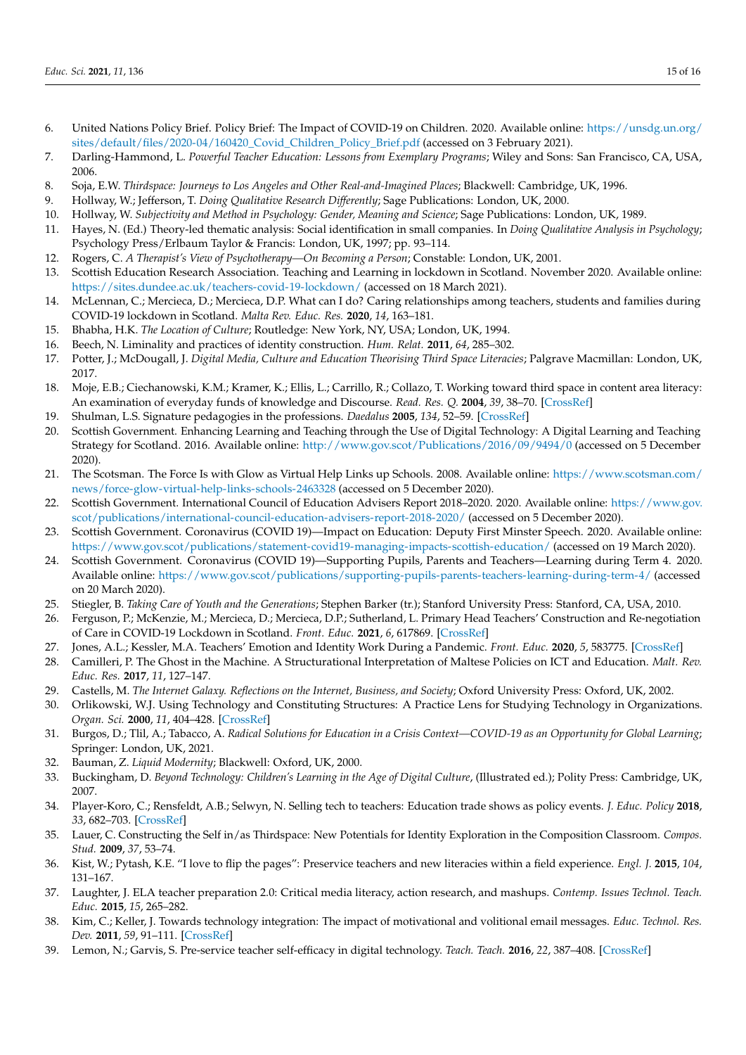- <span id="page-14-0"></span>6. United Nations Policy Brief. Policy Brief: The Impact of COVID-19 on Children. 2020. Available online: [https://unsdg.un.org/](https://unsdg.un.org/sites/default/files/2020-04/160420_Covid_Children_Policy_Brief.pdf) [sites/default/files/2020-04/160420\\_Covid\\_Children\\_Policy\\_Brief.pdf](https://unsdg.un.org/sites/default/files/2020-04/160420_Covid_Children_Policy_Brief.pdf) (accessed on 3 February 2021).
- <span id="page-14-1"></span>7. Darling-Hammond, L. *Powerful Teacher Education: Lessons from Exemplary Programs*; Wiley and Sons: San Francisco, CA, USA, 2006.
- <span id="page-14-2"></span>8. Soja, E.W. *Thirdspace: Journeys to Los Angeles and Other Real-and-Imagined Places*; Blackwell: Cambridge, UK, 1996.
- <span id="page-14-3"></span>9. Hollway, W.; Jefferson, T. *Doing Qualitative Research Differently*; Sage Publications: London, UK, 2000.
- <span id="page-14-4"></span>10. Hollway, W. *Subjectivity and Method in Psychology: Gender, Meaning and Science*; Sage Publications: London, UK, 1989.
- <span id="page-14-5"></span>11. Hayes, N. (Ed.) Theory-led thematic analysis: Social identification in small companies. In *Doing Qualitative Analysis in Psychology*; Psychology Press/Erlbaum Taylor & Francis: London, UK, 1997; pp. 93–114.
- <span id="page-14-6"></span>12. Rogers, C. *A Therapist's View of Psychotherapy—On Becoming a Person*; Constable: London, UK, 2001.
- <span id="page-14-7"></span>13. Scottish Education Research Association. Teaching and Learning in lockdown in Scotland. November 2020. Available online: <https://sites.dundee.ac.uk/teachers-covid-19-lockdown/> (accessed on 18 March 2021).
- <span id="page-14-8"></span>14. McLennan, C.; Mercieca, D.; Mercieca, D.P. What can I do? Caring relationships among teachers, students and families during COVID-19 lockdown in Scotland. *Malta Rev. Educ. Res.* **2020**, *14*, 163–181.
- <span id="page-14-9"></span>15. Bhabha, H.K. *The Location of Culture*; Routledge: New York, NY, USA; London, UK, 1994.
- <span id="page-14-10"></span>16. Beech, N. Liminality and practices of identity construction. *Hum. Relat.* **2011**, *64*, 285–302.
- <span id="page-14-11"></span>17. Potter, J.; McDougall, J. *Digital Media, Culture and Education Theorising Third Space Literacies*; Palgrave Macmillan: London, UK, 2017.
- <span id="page-14-12"></span>18. Moje, E.B.; Ciechanowski, K.M.; Kramer, K.; Ellis, L.; Carrillo, R.; Collazo, T. Working toward third space in content area literacy: An examination of everyday funds of knowledge and Discourse. *Read. Res. Q.* **2004**, *39*, 38–70. [\[CrossRef\]](http://doi.org/10.1598/RRQ.39.1.4)
- <span id="page-14-13"></span>19. Shulman, L.S. Signature pedagogies in the professions. *Daedalus* **2005**, *134*, 52–59. [\[CrossRef\]](http://doi.org/10.1162/0011526054622015)
- <span id="page-14-14"></span>20. Scottish Government. Enhancing Learning and Teaching through the Use of Digital Technology: A Digital Learning and Teaching Strategy for Scotland. 2016. Available online: <http://www.gov.scot/Publications/2016/09/9494/0> (accessed on 5 December 2020).
- <span id="page-14-15"></span>21. The Scotsman. The Force Is with Glow as Virtual Help Links up Schools. 2008. Available online: [https://www.scotsman.com/](https://www.scotsman.com/news/force-glow-virtual-help-links-schools-2463328) [news/force-glow-virtual-help-links-schools-2463328](https://www.scotsman.com/news/force-glow-virtual-help-links-schools-2463328) (accessed on 5 December 2020).
- <span id="page-14-16"></span>22. Scottish Government. International Council of Education Advisers Report 2018–2020. 2020. Available online: [https://www.gov.](https://www.gov.scot/publications/international-council-education-advisers-report-2018-2020/) [scot/publications/international-council-education-advisers-report-2018-2020/](https://www.gov.scot/publications/international-council-education-advisers-report-2018-2020/) (accessed on 5 December 2020).
- <span id="page-14-17"></span>23. Scottish Government. Coronavirus (COVID 19)—Impact on Education: Deputy First Minster Speech. 2020. Available online: <https://www.gov.scot/publications/statement-covid19-managing-impacts-scottish-education/> (accessed on 19 March 2020).
- <span id="page-14-18"></span>24. Scottish Government. Coronavirus (COVID 19)—Supporting Pupils, Parents and Teachers—Learning during Term 4. 2020. Available online: <https://www.gov.scot/publications/supporting-pupils-parents-teachers-learning-during-term-4/> (accessed on 20 March 2020).
- <span id="page-14-19"></span>25. Stiegler, B. *Taking Care of Youth and the Generations*; Stephen Barker (tr.); Stanford University Press: Stanford, CA, USA, 2010.
- <span id="page-14-20"></span>26. Ferguson, P.; McKenzie, M.; Mercieca, D.; Mercieca, D.P.; Sutherland, L. Primary Head Teachers' Construction and Re-negotiation of Care in COVID-19 Lockdown in Scotland. *Front. Educ.* **2021**, *6*, 617869. [\[CrossRef\]](http://doi.org/10.3389/feduc.2021.617869)
- <span id="page-14-21"></span>27. Jones, A.L.; Kessler, M.A. Teachers' Emotion and Identity Work During a Pandemic. *Front. Educ.* **2020**, *5*, 583775. [\[CrossRef\]](http://doi.org/10.3389/feduc.2020.583775)
- <span id="page-14-22"></span>28. Camilleri, P. The Ghost in the Machine. A Structurational Interpretation of Maltese Policies on ICT and Education. *Malt. Rev. Educ. Res.* **2017**, *11*, 127–147.
- <span id="page-14-23"></span>29. Castells, M. *The Internet Galaxy. Reflections on the Internet, Business, and Society*; Oxford University Press: Oxford, UK, 2002.
- <span id="page-14-24"></span>30. Orlikowski, W.J. Using Technology and Constituting Structures: A Practice Lens for Studying Technology in Organizations. *Organ. Sci.* **2000**, *11*, 404–428. [\[CrossRef\]](http://doi.org/10.1287/orsc.11.4.404.14600)
- <span id="page-14-25"></span>31. Burgos, D.; Tlil, A.; Tabacco, A. *Radical Solutions for Education in a Crisis Context—COVID-19 as an Opportunity for Global Learning*; Springer: London, UK, 2021.
- <span id="page-14-26"></span>32. Bauman, Z. *Liquid Modernity*; Blackwell: Oxford, UK, 2000.
- <span id="page-14-27"></span>33. Buckingham, D. *Beyond Technology: Children's Learning in the Age of Digital Culture*, (Illustrated ed.); Polity Press: Cambridge, UK, 2007.
- <span id="page-14-28"></span>34. Player-Koro, C.; Rensfeldt, A.B.; Selwyn, N. Selling tech to teachers: Education trade shows as policy events. *J. Educ. Policy* **2018**, *33*, 682–703. [\[CrossRef\]](http://doi.org/10.1080/02680939.2017.1380232)
- <span id="page-14-29"></span>35. Lauer, C. Constructing the Self in/as Thirdspace: New Potentials for Identity Exploration in the Composition Classroom. *Compos. Stud.* **2009**, *37*, 53–74.
- <span id="page-14-30"></span>36. Kist, W.; Pytash, K.E. "I love to flip the pages": Preservice teachers and new literacies within a field experience. *Engl. J.* **2015**, *104*, 131–167.
- <span id="page-14-31"></span>37. Laughter, J. ELA teacher preparation 2.0: Critical media literacy, action research, and mashups. *Contemp. Issues Technol. Teach. Educ.* **2015**, *15*, 265–282.
- <span id="page-14-32"></span>38. Kim, C.; Keller, J. Towards technology integration: The impact of motivational and volitional email messages. *Educ. Technol. Res. Dev.* **2011**, *59*, 91–111. [\[CrossRef\]](http://doi.org/10.1007/s11423-010-9174-1)
- 39. Lemon, N.; Garvis, S. Pre-service teacher self-efficacy in digital technology. *Teach. Teach.* **2016**, *22*, 387–408. [\[CrossRef\]](http://doi.org/10.1080/13540602.2015.1058594)